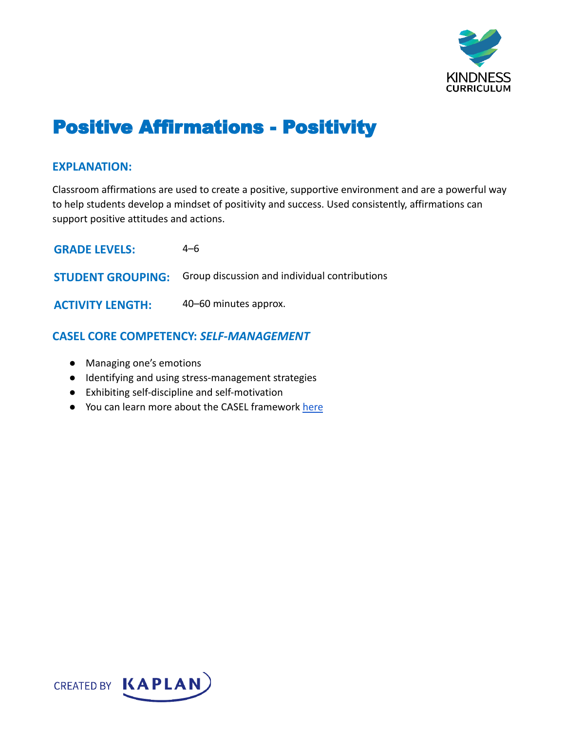

# Positive Affirmations - Positivity

#### **EXPLANATION:**

Classroom affirmations are used to create a positive, supportive environment and are a powerful way to help students develop a mindset of positivity and success. Used consistently, affirmations can support positive attitudes and actions.

| <b>GRADE LEVELS:</b>     | 4–6                                           |
|--------------------------|-----------------------------------------------|
| <b>STUDENT GROUPING:</b> | Group discussion and individual contributions |
| <b>ACTIVITY LENGTH:</b>  | 40–60 minutes approx.                         |

## **CASEL CORE COMPETENCY:** *SELF-MANAGEMENT*

- Managing one's emotions
- Identifying and using stress-management strategies
- Exhibiting self-discipline and self-motivation
- You can learn more about the CASEL framework [here](https://casel.org/sel-framework/)

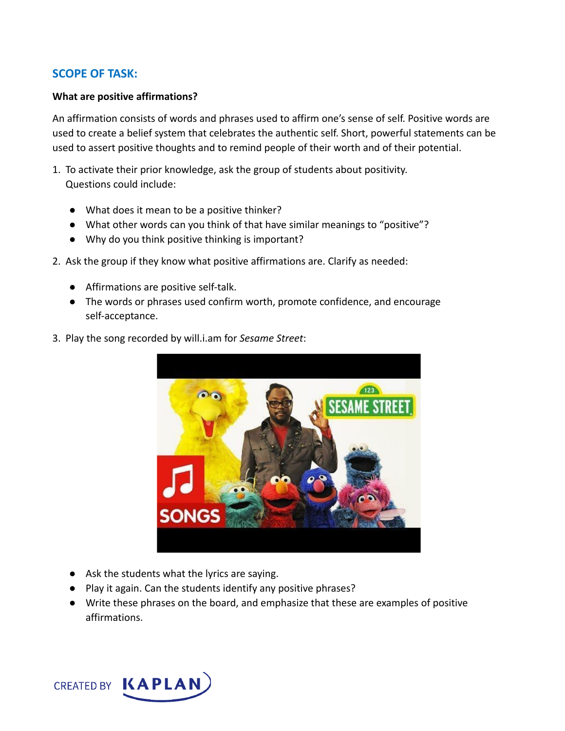## **SCOPE OF TASK:**

#### **What are positive affirmations?**

An affirmation consists of words and phrases used to affirm one's sense of self. Positive words are used to create a belief system that celebrates the authentic self. Short, powerful statements can be used to assert positive thoughts and to remind people of their worth and of their potential.

- 1. To activate their prior knowledge, ask the group of students about positivity. Questions could include:
	- What does it mean to be a positive thinker?
	- What other words can you think of that have similar meanings to "positive"?
	- Why do you think positive thinking is important?
- 2. Ask the group if they know what positive affirmations are. Clarify as needed:
	- Affirmations are positive self-talk.
	- The words or phrases used confirm worth, promote confidence, and encourage self-acceptance.



3. Play the song recorded by will.i.am for *Sesame Street*:

- Ask the students what the lyrics are saying.
- Play it again. Can the students identify any positive phrases?
- Write these phrases on the board, and emphasize that these are examples of positive affirmations.

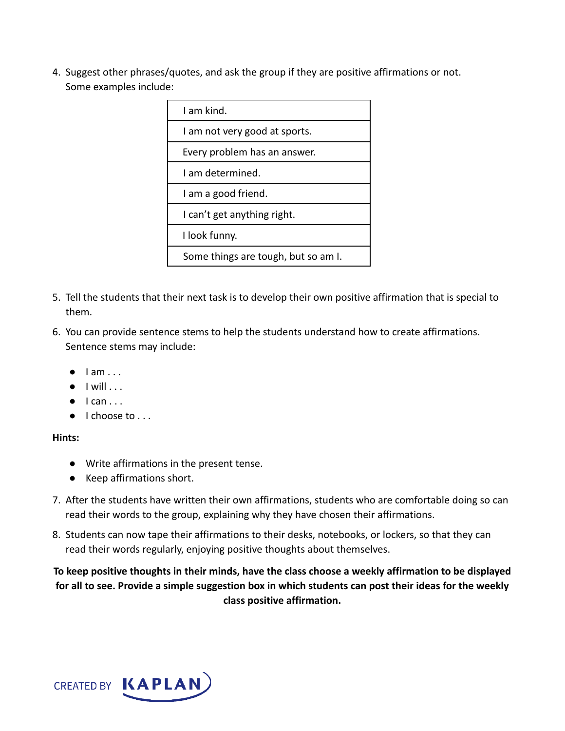4. Suggest other phrases/quotes, and ask the group if they are positive affirmations or not. Some examples include:

| I am kind.                          |  |
|-------------------------------------|--|
| I am not very good at sports.       |  |
| Every problem has an answer.        |  |
| Lam determined.                     |  |
| I am a good friend.                 |  |
| I can't get anything right.         |  |
| I look funny.                       |  |
| Some things are tough, but so am I. |  |

- 5. Tell the students that their next task is to develop their own positive affirmation that is special to them.
- 6. You can provide sentence stems to help the students understand how to create affirmations. Sentence stems may include:
	- $\bullet$  lam ...
	- $\bullet$  I will  $\ldots$
	- $\bullet$  I can ...
	- I choose to . . .

#### **Hints:**

- Write affirmations in the present tense.
- Keep affirmations short.
- 7. After the students have written their own affirmations, students who are comfortable doing so can read their words to the group, explaining why they have chosen their affirmations.
- 8. Students can now tape their affirmations to their desks, notebooks, or lockers, so that they can read their words regularly, enjoying positive thoughts about themselves.

**To keep positive thoughts in their minds, have the class choose a weekly affirmation to be displayed for all to see. Provide a simple suggestion box in which students can post their ideas for the weekly class positive affirmation.**